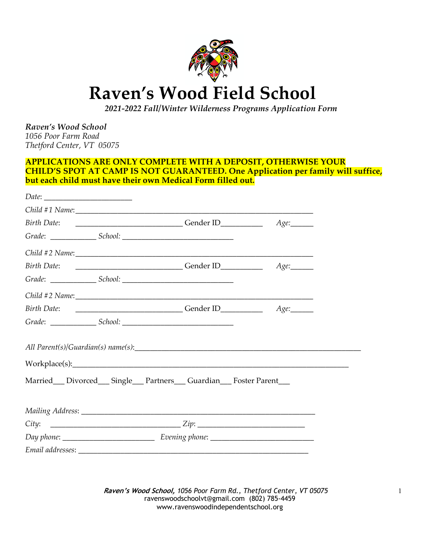

# **Raven's Wood Field School**

 *2021-2022 Fall/Winter Wilderness Programs Application Form*

*Raven's Wood School 1056 Poor Farm Road Thetford Center, VT 05075*

#### **APPLICATIONS ARE ONLY COMPLETE WITH A DEPOSIT, OTHERWISE YOUR CHILD'S SPOT AT CAMP IS NOT GUARANTEED. One Application per family will suffice, but each child must have their own Medical Form filled out.**

| Married__Divorced__Single__Partners__Guardian__Foster Parent__ |  |
|----------------------------------------------------------------|--|
|                                                                |  |
|                                                                |  |
|                                                                |  |
|                                                                |  |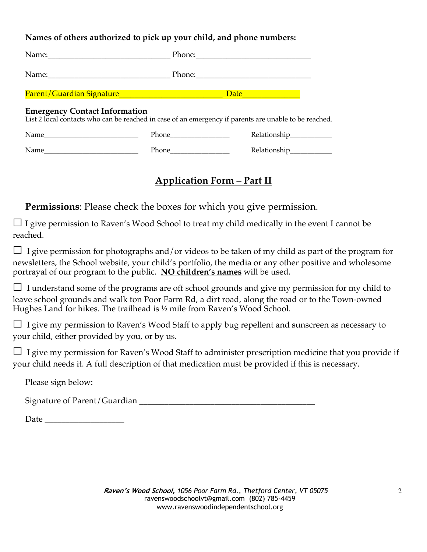#### **Names of others authorized to pick up your child, and phone numbers:**

|                                                                                                                                               |                                                                                                                                                                                                                                | Date <u>Date</u>        |
|-----------------------------------------------------------------------------------------------------------------------------------------------|--------------------------------------------------------------------------------------------------------------------------------------------------------------------------------------------------------------------------------|-------------------------|
| <b>Emergency Contact Information</b><br>List 2 local contacts who can be reached in case of an emergency if parents are unable to be reached. |                                                                                                                                                                                                                                |                         |
|                                                                                                                                               |                                                                                                                                                                                                                                | Relationship___________ |
|                                                                                                                                               | Phone has been a series of the series of the series of the series of the series of the series of the series of the series of the series of the series of the series of the series of the series of the series of the series of |                         |

## **Application Form – Part II**

**Permissions**: Please check the boxes for which you give permission.

 $\Box$  I give permission to Raven's Wood School to treat my child medically in the event I cannot be reached.

 $\Box$  I give permission for photographs and/or videos to be taken of my child as part of the program for newsletters, the School website, your child's portfolio, the media or any other positive and wholesome portrayal of our program to the public. **NO children's names** will be used.

 $\Box$  I understand some of the programs are off school grounds and give my permission for my child to leave school grounds and walk ton Poor Farm Rd, a dirt road, along the road or to the Town-owned Hughes Land for hikes. The trailhead is ½ mile from Raven's Wood School.

□ I give my permission to Raven's Wood Staff to apply bug repellent and sunscreen as necessary to your child, either provided by you, or by us.

 $\Box$  I give my permission for Raven's Wood Staff to administer prescription medicine that you provide if your child needs it. A full description of that medication must be provided if this is necessary.

Please sign below:

Signature of Parent/Guardian \_\_\_\_\_\_\_\_\_\_\_\_\_\_\_\_\_\_\_\_\_\_\_\_\_\_\_\_\_\_\_\_\_\_\_\_\_\_\_\_\_\_

Date \_\_\_\_\_\_\_\_\_\_\_\_\_\_\_\_\_\_\_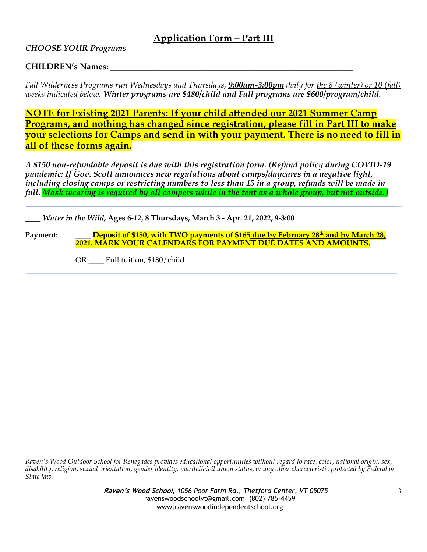### **Application Form – Part III**

#### *CHOOSE YOUR Programs*

#### **CHILDREN's Names:**

*Fall Wilderness Programs run Wednesdays and Thursdays, 9:00am-3:00pm daily for the 8 (winter) or 10 (fall) weeks indicated below. Winter programs are \$480/child and Fall programs are \$600/program/child.*

**NOTE for Existing 2021 Parents: If your child attended our 2021 Summer Camp Programs, and nothing has changed since registration, please fill in Part III to make your selections for Camps and send in with your payment. There is no need to fill in all of these forms again.**

*A \$150 non-refundable deposit is due with this registration form. (Refund policy during COVID-19 pandemic: If Gov. Scott announces new regulations about camps/daycares in a negative light, including closing camps or restricting numbers to less than 15 in a group, refunds will be made in full. Mask wearing is required by all campers while in the tent as a whole group, but not outside.)*

*\_\_\_\_ Water in the Wild,* **Ages 6-12, 8 Thursdays, March 3 - Apr. 21, 2022, 9-3:00**

**Payment:** \_\_\_\_ **Deposit of \$150, with TWO payments of \$165 due by February 28th and by March 28, 2021. MARK YOUR CALENDARS FOR PAYMENT DUE DATES AND AMOUNTS.**

OR \_\_\_\_ Full tuition, \$480/child

*Raven's Wood Outdoor School for Renegades provides educational opportunities without regard to race, color, national origin, sex, disability, religion, sexual orientation, gender identity, marital/civil union status, or any other characteristic protected by Federal or State law.*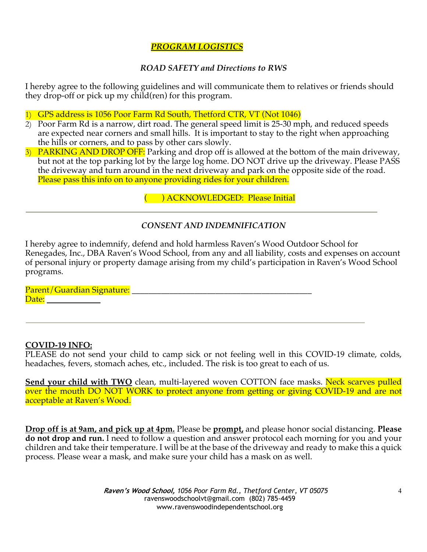#### *PROGRAM LOGISTICS*

#### *ROAD SAFETY and Directions to RWS*

I hereby agree to the following guidelines and will communicate them to relatives or friends should they drop-off or pick up my child(ren) for this program.

1) GPS address is 1056 Poor Farm Rd South, Thetford CTR, VT (Not 1046)

- 2) Poor Farm Rd is a narrow, dirt road. The general speed limit is 25-30 mph, and reduced speeds are expected near corners and small hills. It is important to stay to the right when approaching the hills or corners, and to pass by other cars slowly.
- 3) PARKING AND DROP OFF: Parking and drop off is allowed at the bottom of the main driveway, but not at the top parking lot by the large log home. DO NOT drive up the driveway. Please PASS the driveway and turn around in the next driveway and park on the opposite side of the road. Please pass this info on to anyone providing rides for your children.

( ) ACKNOWLEDGED: Please Initial

#### *CONSENT AND INDEMNIFICATION*

I hereby agree to indemnify, defend and hold harmless Raven's Wood Outdoor School for Renegades, Inc., DBA Raven's Wood School, from any and all liability, costs and expenses on account of personal injury or property damage arising from my child's participation in Raven's Wood School programs.

Parent/Guardian Signature: \_\_\_\_\_\_\_\_\_\_\_\_\_\_\_\_\_\_\_\_\_\_\_\_\_\_\_\_\_\_\_\_\_\_\_\_\_\_\_\_\_\_\_ Date: **Date:** 

#### **COVID-19 INFO:**

PLEASE do not send your child to camp sick or not feeling well in this COVID-19 climate, colds, headaches, fevers, stomach aches, etc., included. The risk is too great to each of us.

Send your child with TWO clean, multi-layered woven COTTON face masks. Neck scarves pulled over the mouth DO NOT WORK to protect anyone from getting or giving COVID-19 and are not acceptable at Raven's Wood.

**Drop off is at 9am, and pick up at 4pm.** Please be **prompt,** and please honor social distancing. **Please do not drop and run.** I need to follow a question and answer protocol each morning for you and your children and take their temperature. I will be at the base of the driveway and ready to make this a quick process. Please wear a mask, and make sure your child has a mask on as well.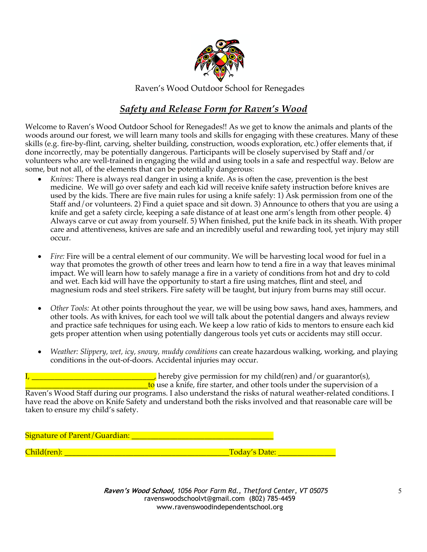

Raven's Wood Outdoor School for Renegades

## *Safety and Release Form for Raven's Wood*

Welcome to Raven's Wood Outdoor School for Renegades!! As we get to know the animals and plants of the woods around our forest, we will learn many tools and skills for engaging with these creatures. Many of these skills (e.g. fire-by-flint, carving, shelter building, construction, woods exploration, etc.) offer elements that, if done incorrectly, may be potentially dangerous. Participants will be closely supervised by Staff and/or volunteers who are well-trained in engaging the wild and using tools in a safe and respectful way. Below are some, but not all, of the elements that can be potentially dangerous:

- *Knives:* There is always real danger in using a knife. As is often the case, prevention is the best medicine. We will go over safety and each kid will receive knife safety instruction before knives are used by the kids. There are five main rules for using a knife safely: 1) Ask permission from one of the Staff and/or volunteers. 2) Find a quiet space and sit down. 3) Announce to others that you are using a knife and get a safety circle, keeping a safe distance of at least one arm's length from other people. 4) Always carve or cut away from yourself. 5) When finished, put the knife back in its sheath. With proper care and attentiveness, knives are safe and an incredibly useful and rewarding tool, yet injury may still occur.
- *Fire:* Fire will be a central element of our community. We will be harvesting local wood for fuel in a way that promotes the growth of other trees and learn how to tend a fire in a way that leaves minimal impact. We will learn how to safely manage a fire in a variety of conditions from hot and dry to cold and wet. Each kid will have the opportunity to start a fire using matches, flint and steel, and magnesium rods and steel strikers. Fire safety will be taught, but injury from burns may still occur.
- *Other Tools:* At other points throughout the year, we will be using bow saws, hand axes, hammers, and other tools. As with knives, for each tool we will talk about the potential dangers and always review and practice safe techniques for using each. We keep a low ratio of kids to mentors to ensure each kid gets proper attention when using potentially dangerous tools yet cuts or accidents may still occur.
- *Weather: Slippery, wet, icy, snowy, muddy conditions* can create hazardous walking, working, and playing conditions in the out-of-doors. Accidental injuries may occur.

I, hereby give permission for my child(ren) and/or guarantor(s), **Lumber 1** to use a knife, fire starter, and other tools under the supervision of a

Raven's Wood Staff during our programs. I also understand the risks of natural weather-related conditions. I have read the above on Knife Safety and understand both the risks involved and that reasonable care will be taken to ensure my child's safety.

Signature of Parent/Guardian: \_\_\_\_\_\_\_\_\_\_\_\_\_\_\_\_\_\_\_\_\_\_\_\_\_\_\_\_\_\_\_\_\_\_\_\_\_

Child(ren): \_\_\_\_\_\_\_\_\_\_\_\_\_\_\_\_\_\_\_\_\_\_\_\_\_\_\_\_\_\_\_\_\_\_\_\_\_\_\_\_\_\_\_Today's Date: \_\_\_\_\_\_\_\_\_\_\_\_\_\_\_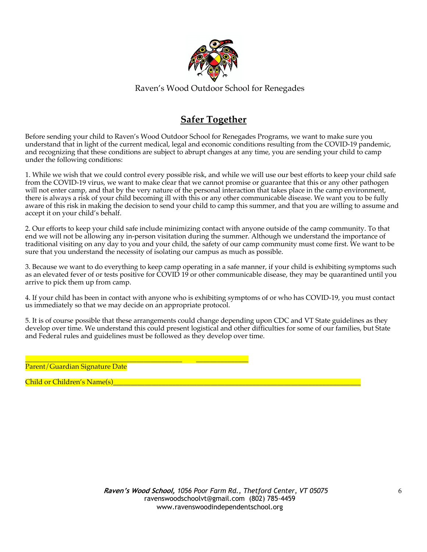

Raven's Wood Outdoor School for Renegades

## **Safer Together**

Before sending your child to Raven's Wood Outdoor School for Renegades Programs, we want to make sure you understand that in light of the current medical, legal and economic conditions resulting from the COVID-19 pandemic, and recognizing that these conditions are subject to abrupt changes at any time, you are sending your child to camp under the following conditions:

1. While we wish that we could control every possible risk, and while we will use our best efforts to keep your child safe from the COVID-19 virus, we want to make clear that we cannot promise or guarantee that this or any other pathogen will not enter camp, and that by the very nature of the personal interaction that takes place in the camp environment, there is always a risk of your child becoming ill with this or any other communicable disease. We want you to be fully aware of this risk in making the decision to send your child to camp this summer, and that you are willing to assume and accept it on your child's behalf.

2. Our efforts to keep your child safe include minimizing contact with anyone outside of the camp community. To that end we will not be allowing any in-person visitation during the summer. Although we understand the importance of traditional visiting on any day to you and your child, the safety of our camp community must come first. We want to be sure that you understand the necessity of isolating our campus as much as possible.

3. Because we want to do everything to keep camp operating in a safe manner, if your child is exhibiting symptoms such as an elevated fever of or tests positive for COVID 19 or other communicable disease, they may be quarantined until you arrive to pick them up from camp.

4. If your child has been in contact with anyone who is exhibiting symptoms of or who has COVID-19, you must contact us immediately so that we may decide on an appropriate protocol.

5. It is of course possible that these arrangements could change depending upon CDC and VT State guidelines as they develop over time. We understand this could present logistical and other difficulties for some of our families, but State and Federal rules and guidelines must be followed as they develop over time.

\_\_\_\_\_\_\_\_\_\_\_\_\_\_\_\_\_\_\_\_\_\_\_\_\_\_\_\_\_\_\_\_\_\_\_\_\_\_\_\_\_\_\_\_\_ \_\_\_\_\_\_\_\_\_\_\_\_\_\_\_ Parent/Guardian Signature Date

Child or Children's Name(s)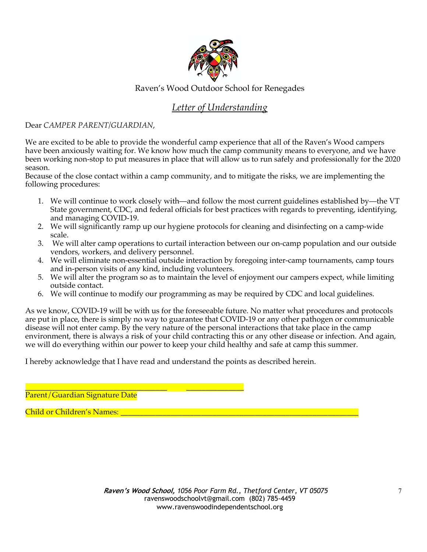

#### Raven's Wood Outdoor School for Renegades

## *Letter of Understanding*

Dear *CAMPER PARENT/GUARDIAN*,

We are excited to be able to provide the wonderful camp experience that all of the Raven's Wood campers have been anxiously waiting for. We know how much the camp community means to everyone, and we have been working non-stop to put measures in place that will allow us to run safely and professionally for the 2020 season.

Because of the close contact within a camp community, and to mitigate the risks, we are implementing the following procedures:

- 1. We will continue to work closely with—and follow the most current guidelines established by—the VT State government, CDC, and federal officials for best practices with regards to preventing, identifying, and managing COVID-19.
- 2. We will significantly ramp up our hygiene protocols for cleaning and disinfecting on a camp-wide scale.
- 3. We will alter camp operations to curtail interaction between our on-camp population and our outside vendors, workers, and delivery personnel.
- 4. We will eliminate non-essential outside interaction by foregoing inter-camp tournaments, camp tours and in-person visits of any kind, including volunteers.
- 5. We will alter the program so as to maintain the level of enjoyment our campers expect, while limiting outside contact.
- 6. We will continue to modify our programming as may be required by CDC and local guidelines.

As we know, COVID-19 will be with us for the foreseeable future. No matter what procedures and protocols are put in place, there is simply no way to guarantee that COVID-19 or any other pathogen or communicable disease will not enter camp. By the very nature of the personal interactions that take place in the camp environment, there is always a risk of your child contracting this or any other disease or infection. And again, we will do everything within our power to keep your child healthy and safe at camp this summer.

I hereby acknowledge that I have read and understand the points as described herein.

\_\_\_\_\_\_\_\_\_\_\_\_\_\_\_\_\_\_\_\_\_\_\_\_\_\_\_\_\_\_\_\_\_\_\_\_\_ \_\_\_\_\_\_\_\_\_\_\_\_\_\_\_ Parent/Guardian Signature Date

Child or Children's Names: